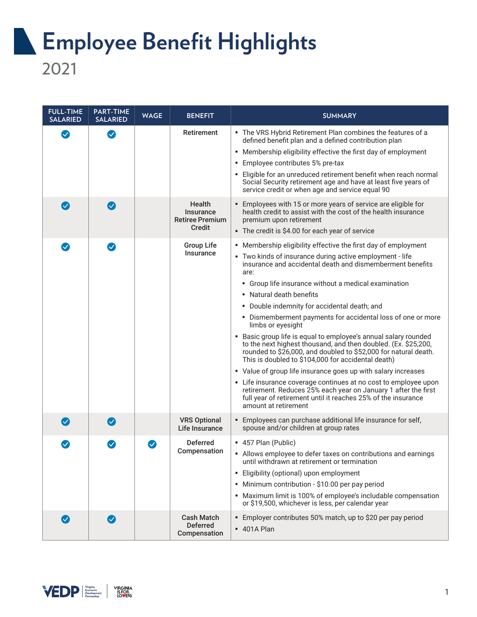## **Employee Benefit Highlights** 2021

**FULL-TIME PART-TIME SALARIED WAGE BENEFIT SUMMARY SALARIED** Retirement Fig. The VRS Hybrid Retirement Plan combines the features of a  $\boldsymbol{\mathcal{S}}$  $\bullet$ defined benefit plan and a defined contribution plan ■ Membership eligibility effective the first day of employment ■ Employee contributes 5% pre-tax ■ Eligible for an unreduced retirement benefit when reach normal Social Security retirement age and have at least five years of service credit or when age and service equal 90 **Health** ■ Employees with 15 or more years of service are eligible for  $\bm{\Omega}$  $\bm{\Omega}$ **Insurance** health credit to assist with the cost of the health insurance Retiree Premium premium upon retirement Credit ■ The credit is \$4.00 for each year of service Group Life ■ Membership eligibility effective the first day of employment  $\boldsymbol{\mathcal{S}}$ **Insurance** ■ Two kinds of insurance during active employment - life insurance and accidental death and dismemberment benefits are: ■ Group life insurance without a medical examination ■ Natural death benefits ■ Double indemnity for accidental death; and ■ Dismemberment payments for accidental loss of one or more limbs or eyesight ■ Basic group life is equal to employee's annual salary rounded to the next highest thousand, and then doubled. (Ex. \$25,200, rounded to \$26,000, and doubled to \$52,000 for natural death. This is doubled to \$104,000 for accidental death) ■ Value of group life insurance goes up with salary increases ■ Life insurance coverage continues at no cost to employee upon retirement. Reduces 25% each year on January 1 after the first full year of retirement until it reaches 25% of the insurance amount at retirement VRS Optional ■ Employees can purchase additional life insurance for self,  $\bullet$  $\left(\blacktriangledown\right)$ spouse and/or children at group rates Life Insurance Deferred ■ 457 Plan (Public)  $\bm{\mathcal{S}}$ Compensation ■ Allows employee to defer taxes on contributions and earnings until withdrawn at retirement or termination ■ Eligibility (optional) upon employment ■ Minimum contribution - \$10.00 per pay period ■ Maximum limit is 100% of employee's includable compensation or \$19,500, whichever is less, per calendar year Cash Match ■ Employer contributes 50% match, up to \$20 per pay period  $\bm{\bm{\heartsuit}}$  $\bullet$ Deferred ■ 401A PlanCompensation

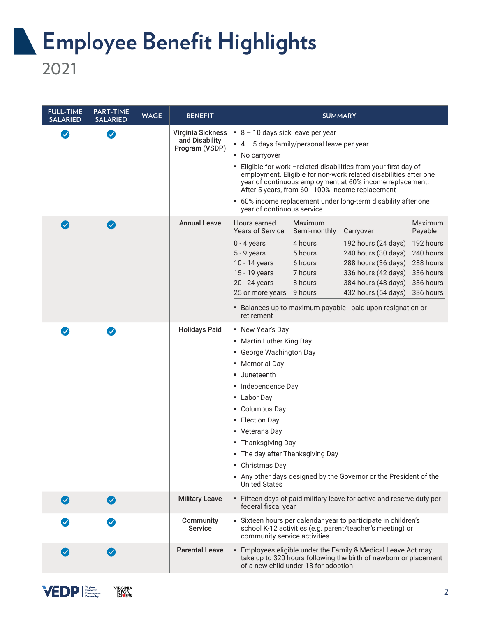## **Employee Benefit Highlights**

2021

| <b>FULL-TIME</b><br><b>SALARIED</b> | <b>PART-TIME</b><br><b>SALARIED</b> | <b>WAGE</b> | <b>BENEFIT</b>                                        | <b>SUMMARY</b>                                                                                                                                                                                                                                                                                                                                                                                                                                                                                                                                                                        |
|-------------------------------------|-------------------------------------|-------------|-------------------------------------------------------|---------------------------------------------------------------------------------------------------------------------------------------------------------------------------------------------------------------------------------------------------------------------------------------------------------------------------------------------------------------------------------------------------------------------------------------------------------------------------------------------------------------------------------------------------------------------------------------|
| $\boldsymbol{\omega}$               | $\boldsymbol{\Omega}$               |             | Virginia Sickness<br>and Disability<br>Program (VSDP) | $8 - 10$ days sick leave per year<br>$\bullet$ 4 - 5 days family/personal leave per year<br>$\blacksquare$ No carryover<br>Eligible for work -related disabilities from your first day of<br>employment. Eligible for non-work related disabilities after one<br>year of continuous employment at 60% income replacement.<br>After 5 years, from 60 - 100% income replacement<br>• 60% income replacement under long-term disability after one<br>year of continuous service                                                                                                          |
| $\left(\bigvee\right)$              | $\sim$                              |             | <b>Annual Leave</b>                                   | Hours earned<br>Maximum<br>Maximum<br><b>Years of Service</b><br>Semi-monthly<br>Carryover<br>Payable<br>$0 - 4$ years<br>4 hours<br>192 hours (24 days)<br>192 hours<br>$5 - 9$ years<br>5 hours<br>240 hours (30 days)<br>240 hours<br>6 hours<br>288 hours (36 days)<br>288 hours<br>10 - 14 years<br>15 - 19 years<br>7 hours<br>336 hours (42 days)<br>336 hours<br>20 - 24 years<br>8 hours<br>384 hours (48 days)<br>336 hours<br>9 hours<br>432 hours (54 days)<br>336 hours<br>25 or more years<br>• Balances up to maximum payable - paid upon resignation or<br>retirement |
| $\bullet$                           | Ø                                   |             | <b>Holidays Paid</b>                                  | • New Year's Day<br>• Martin Luther King Day<br>• George Washington Day<br>• Memorial Day<br>Juneteenth<br>٠.<br>• Independence Day<br>• Labor Day<br>• Columbus Day<br><b>Election Day</b><br>٠<br>• Veterans Day<br>■ Thanksgiving Day<br>• The day after Thanksgiving Day<br>• Christmas Day<br>Any other days designed by the Governor or the President of the<br><b>United States</b>                                                                                                                                                                                            |
| $\bullet$                           | $\boldsymbol{\mathcal{S}}$          |             | <b>Military Leave</b>                                 | - Fifteen days of paid military leave for active and reserve duty per<br>federal fiscal year                                                                                                                                                                                                                                                                                                                                                                                                                                                                                          |
| $\boldsymbol{\mathcal{S}}$          | $\boldsymbol{\triangledown}$        |             | Community<br><b>Service</b>                           | Sixteen hours per calendar year to participate in children's<br>school K-12 activities (e.g. parent/teacher's meeting) or<br>community service activities                                                                                                                                                                                                                                                                                                                                                                                                                             |
| $(\blacktriangledown)$              | $\left( \bigtriangledown \right)$   |             | <b>Parental Leave</b>                                 | · Employees eligible under the Family & Medical Leave Act may<br>take up to 320 hours following the birth of newborn or placement<br>of a new child under 18 for adoption                                                                                                                                                                                                                                                                                                                                                                                                             |